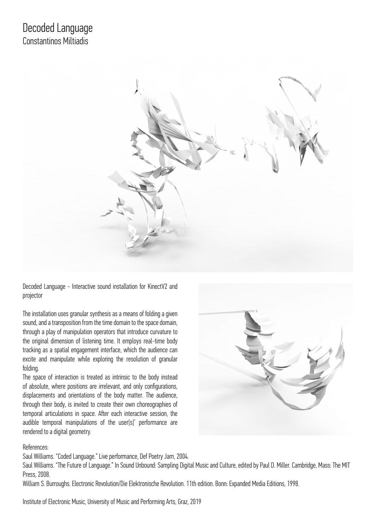

Decoded Language - Interactive sound installation for KinectV2 and projector

The installation uses granular synthesis as a means of folding a given sound, and a transposition from the time domain to the space domain, through a play of manipulation operators that introduce curvature to the original dimension of listening time. It employs real-time body tracking as a spatial engagement interface, which the audience can excite and manipulate while exploring the resolution of granular folding.

The space of interaction is treated as intrinsic to the body instead of absolute, where positions are irrelevant, and only configurations, displacements and orientations of the body matter. The audience, through their body, is invited to create their own choreographies of temporal articulations in space. After each interactive session, the audible temporal manipulations of the user[s]' performance are rendered to a digital geometry.



# References:

Saul Williams. "Coded Language." Live performance, Def Poetry Jam, 2004.

Saul Williams. "The Future of Language." In Sound Unbound: Sampling Digital Music and Culture, edited by Paul D. Miller. Cambridge, Mass: The MIT Press, 2008.

William S. Burroughs. Electronic Revolution/Die Elektronische Revolution. 11th edition. Bonn: Expanded Media Editions, 1998.

Institute of Electronic Music, University of Music and Performing Arts, Graz, 2019